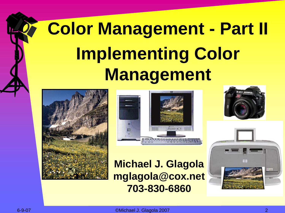# **Color Management - Part II Implementing Color Management**





**Michael J. Glagola mglagola@cox.net 703-830-6860**



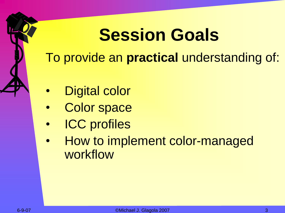# **Session Goals**

To provide an **practical** understanding of:

- Digital color
- Color space
- **ICC** profiles
- How to implement color-managed workflow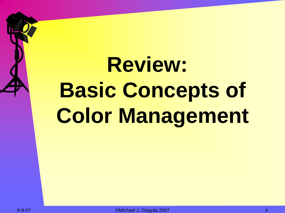# **Review: Basic Concepts of Color Management**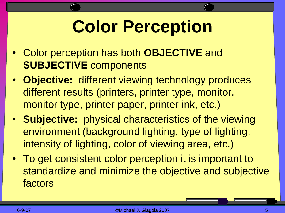# **Color Perception**

- Color perception has both **OBJECTIVE** and **SUBJECTIVE** components
- **Objective:** different viewing technology produces different results (printers, printer type, monitor, monitor type, printer paper, printer ink, etc.)
- **Subjective:** physical characteristics of the viewing environment (background lighting, type of lighting, intensity of lighting, color of viewing area, etc.)
- To get consistent color perception it is important to standardize and minimize the objective and subjective factors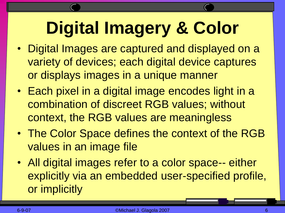# **Digital Imagery & Color**

- Digital Images are captured and displayed on a variety of devices; each digital device captures or displays images in a unique manner
- Each pixel in a digital image encodes light in a combination of discreet RGB values; without context, the RGB values are meaningless
- The Color Space defines the context of the RGB values in an image file
- All digital images refer to a color space-- either explicitly via an embedded user-specified profile, or implicitly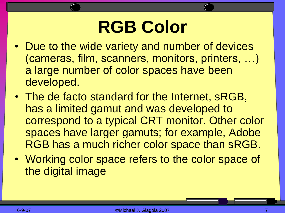#### **RGB Color**

- Due to the wide variety and number of devices (cameras, film, scanners, monitors, printers, …) a large number of color spaces have been developed.
- The de facto standard for the Internet, sRGB, has a limited gamut and was developed to correspond to a typical CRT monitor. Other color spaces have larger gamuts; for example, Adobe RGB has a much richer color space than sRGB.
- Working color space refers to the color space of the digital image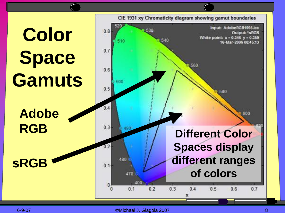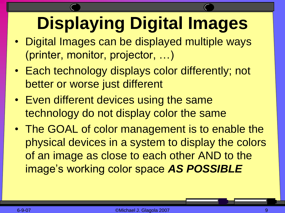# **Displaying Digital Images**

- Digital Images can be displayed multiple ways (printer, monitor, projector, …)
- Each technology displays color differently; not better or worse just different
- Even different devices using the same technology do not display color the same
- The GOAL of color management is to enable the physical devices in a system to display the colors of an image as close to each other AND to the image's working color space *AS POSSIBLE*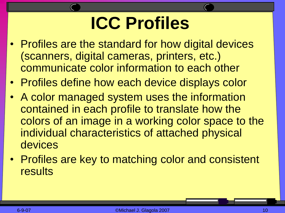# **ICC Profiles**

- Profiles are the standard for how digital devices (scanners, digital cameras, printers, etc.) communicate color information to each other
- Profiles define how each device displays color
- A color managed system uses the information contained in each profile to translate how the colors of an image in a working color space to the individual characteristics of attached physical devices
- Profiles are key to matching color and consistent results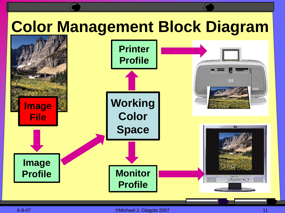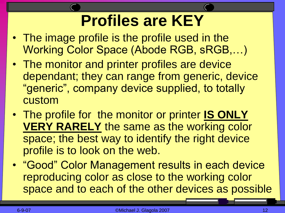#### **Profiles are KEY**

- The image profile is the profile used in the Working Color Space (Abode RGB, sRGB,…)
- The monitor and printer profiles are device dependant; they can range from generic, device "generic", company device supplied, to totally custom
- The profile for the monitor or printer **IS ONLY VERY RARELY** the same as the working color space; the best way to identify the right device profile is to look on the web.
- "Good" Color Management results in each device reproducing color as close to the working color space and to each of the other devices as possible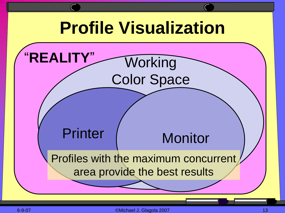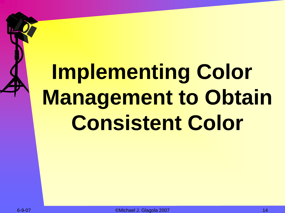# **Implementing Color Management to Obtain Consistent Color**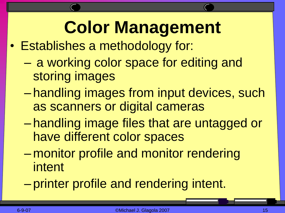# **Color Management**

- Establishes a methodology for:
	- a working color space for editing and storing images
	- handling images from input devices, such as scanners or digital cameras
	- handling image files that are untagged or have different color spaces
	- monitor profile and monitor rendering intent
	- printer profile and rendering intent.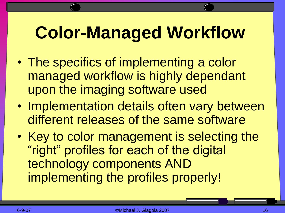# **Color-Managed Workflow**

- The specifics of implementing a color managed workflow is highly dependant upon the imaging software used
- Implementation details often vary between different releases of the same software
- Key to color management is selecting the "right" profiles for each of the digital technology components AND implementing the profiles properly!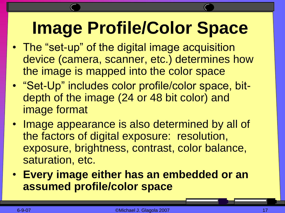# **Image Profile/Color Space**

- The "set-up" of the digital image acquisition device (camera, scanner, etc.) determines how the image is mapped into the color space
- "Set-Up" includes color profile/color space, bitdepth of the image (24 or 48 bit color) and image format
- Image appearance is also determined by all of the factors of digital exposure: resolution, exposure, brightness, contrast, color balance, saturation, etc.
- **Every image either has an embedded or an assumed profile/color space**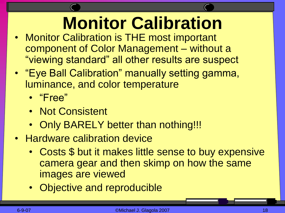# **Monitor Calibration**

- **Monitor Calibration is THE most important** component of Color Management – without a "viewing standard" all other results are suspect
- "Eye Ball Calibration" manually setting gamma, luminance, and color temperature
	- "Free"
	- Not Consistent
	- Only BARELY better than nothing!!!
- Hardware calibration device
	- Costs \$ but it makes little sense to buy expensive camera gear and then skimp on how the same images are viewed
	- Objective and reproducible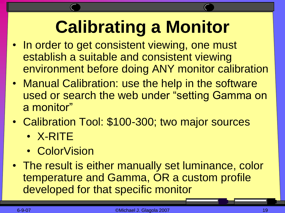# **Calibrating a Monitor**

- In order to get consistent viewing, one must establish a suitable and consistent viewing environment before doing ANY monitor calibration
- Manual Calibration: use the help in the software used or search the web under "setting Gamma on a monitor"
- Calibration Tool: \$100-300; two major sources
	- X-RITE
	- ColorVision
- The result is either manually set luminance, color temperature and Gamma, OR a custom profile developed for that specific monitor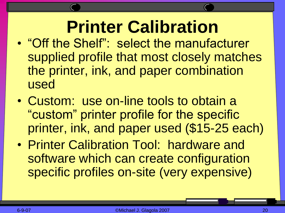#### **Printer Calibration**

- "Off the Shelf": select the manufacturer supplied profile that most closely matches the printer, ink, and paper combination used
- Custom: use on-line tools to obtain a "custom" printer profile for the specific printer, ink, and paper used (\$15-25 each)
- Printer Calibration Tool: hardware and software which can create configuration specific profiles on-site (very expensive)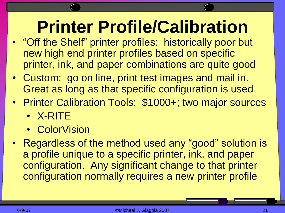#### **Printer Profile/Calibration**

- "Off the Shelf" printer profiles: historically poor but new high end printer profiles based on specific printer, ink, and paper combinations are quite good
- Custom: go on line, print test images and mail in. Great as long as that specific configuration is used
- Printer Calibration Tools: \$1000+; two major sources
	- X-RITE
	- ColorVision
- Regardless of the method used any "good" solution is a profile unique to a specific printer, ink, and paper configuration. Any significant change to that printer configuration normally requires a new printer profile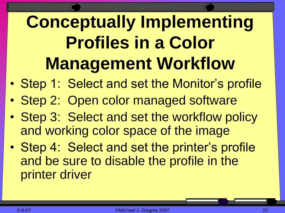# **Conceptually Implementing Profiles in a Color Management Workflow**

- Step 1: Select and set the Monitor's profile
- Step 2: Open color managed software
- Step 3: Select and set the workflow policy and working color space of the image
- Step 4: Select and set the printer's profile and be sure to disable the profile in the printer driver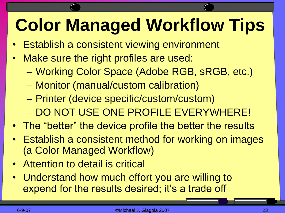# **Color Managed Workflow Tips**

- Establish a consistent viewing environment
- Make sure the right profiles are used:
	- Working Color Space (Adobe RGB, sRGB, etc.)
	- Monitor (manual/custom calibration)
	- Printer (device specific/custom/custom) – DO NOT USE ONE PROFILE EVERYWHERE!
- The "better" the device profile the better the results
- Establish a consistent method for working on images (a Color Managed Workflow)
- Attention to detail is critical
- Understand how much effort you are willing to expend for the results desired; it's a trade off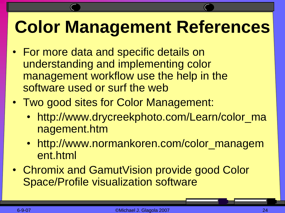## **Color Management References**

- For more data and specific details on understanding and implementing color management workflow use the help in the software used or surf the web
- Two good sites for Color Management:
	- http://www.drycreekphoto.com/Learn/color\_ma nagement.htm
	- http://www.normankoren.com/color\_managem ent.html
- Chromix and GamutVision provide good Color Space/Profile visualization software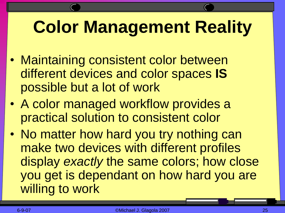# **Color Management Reality**

- Maintaining consistent color between different devices and color spaces **IS** possible but a lot of work
- A color managed workflow provides a practical solution to consistent color
- No matter how hard you try nothing can make two devices with different profiles display *exactly* the same colors; how close you get is dependant on how hard you are willing to work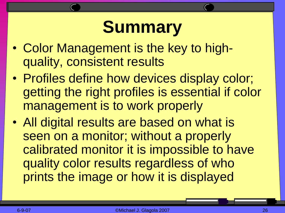#### **Summary**

- Color Management is the key to highquality, consistent results
- Profiles define how devices display color; getting the right profiles is essential if color management is to work properly
- All digital results are based on what is seen on a monitor; without a properly calibrated monitor it is impossible to have quality color results regardless of who prints the image or how it is displayed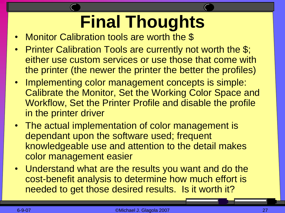# **Final Thoughts**

- Monitor Calibration tools are worth the \$
- Printer Calibration Tools are currently not worth the \$; either use custom services or use those that come with the printer (the newer the printer the better the profiles)
- Implementing color management concepts is simple: Calibrate the Monitor, Set the Working Color Space and Workflow, Set the Printer Profile and disable the profile in the printer driver
- The actual implementation of color management is dependant upon the software used; frequent knowledgeable use and attention to the detail makes color management easier
- Understand what are the results you want and do the cost-benefit analysis to determine how much effort is needed to get those desired results. Is it worth it?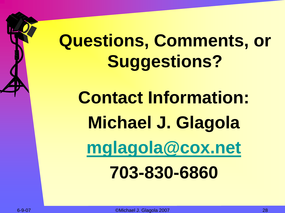# **Questions, Comments, or Suggestions?**

**Contact Information: Michael J. Glagola [mglagola@cox.net](mailto:mglagola@cox.net) 703-830-6860**